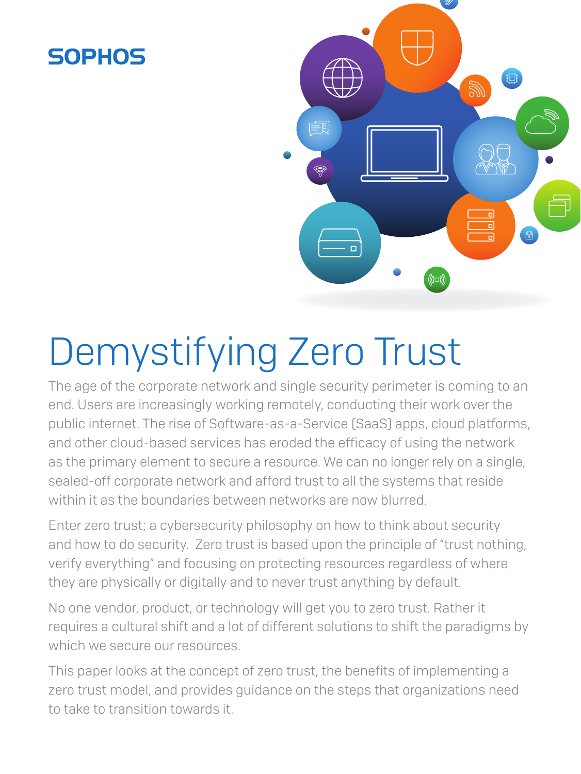## **SOPHOS**



# Demystifying Zero Trust

The age of the corporate network and single security perimeter is coming to an end. Users are increasingly working remotely, conducting their work over the public internet. The rise of Software-as-a-Service (SaaS) apps, cloud platforms, and other cloud-based services has eroded the efficacy of using the network as the primary element to secure a resource. We can no longer rely on a single, sealed-off corporate network and afford trust to all the systems that reside within it as the boundaries between networks are now blurred.

Enter zero trust; a cybersecurity philosophy on how to think about security and how to do security. Zero trust is based upon the principle of "trust nothing, verify everything" and focusing on protecting resources regardless of where they are physically or digitally and to never trust anything by default.

No one vendor, product, or technology will get you to zero trust. Rather it requires a cultural shift and a lot of different solutions to shift the paradigms by which we secure our resources.

This paper looks at the concept of zero trust, the benefits of implementing a zero trust model, and provides guidance on the steps that organizations need to take to transition towards it.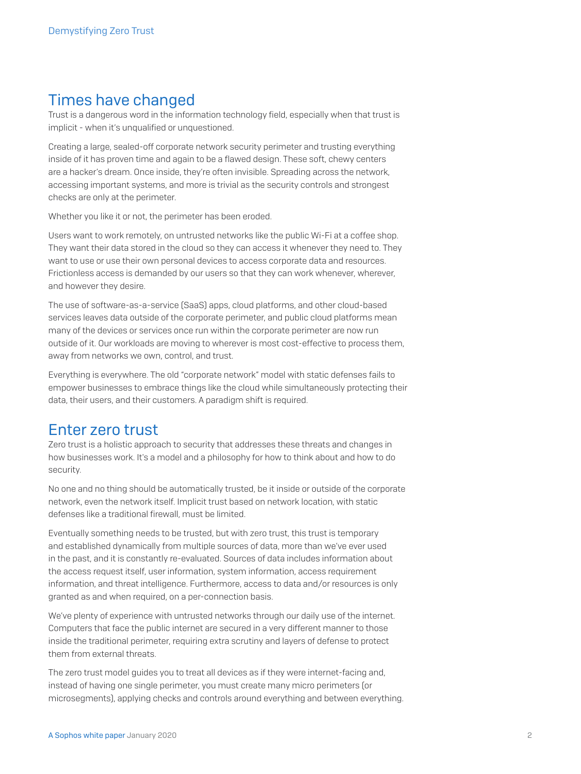## Times have changed

Trust is a dangerous word in the information technology field, especially when that trust is implicit - when it's unqualified or unquestioned.

Creating a large, sealed-off corporate network security perimeter and trusting everything inside of it has proven time and again to be a flawed design. These soft, chewy centers are a hacker's dream. Once inside, they're often invisible. Spreading across the network, accessing important systems, and more is trivial as the security controls and strongest checks are only at the perimeter.

Whether you like it or not, the perimeter has been eroded.

Users want to work remotely, on untrusted networks like the public Wi-Fi at a coffee shop. They want their data stored in the cloud so they can access it whenever they need to. They want to use or use their own personal devices to access corporate data and resources. Frictionless access is demanded by our users so that they can work whenever, wherever, and however they desire.

The use of software-as-a-service (SaaS) apps, cloud platforms, and other cloud-based services leaves data outside of the corporate perimeter, and public cloud platforms mean many of the devices or services once run within the corporate perimeter are now run outside of it. Our workloads are moving to wherever is most cost-effective to process them, away from networks we own, control, and trust.

Everything is everywhere. The old "corporate network" model with static defenses fails to empower businesses to embrace things like the cloud while simultaneously protecting their data, their users, and their customers. A paradigm shift is required.

## Enter zero trust

Zero trust is a holistic approach to security that addresses these threats and changes in how businesses work. It's a model and a philosophy for how to think about and how to do security.

No one and no thing should be automatically trusted, be it inside or outside of the corporate network, even the network itself. Implicit trust based on network location, with static defenses like a traditional firewall, must be limited.

Eventually something needs to be trusted, but with zero trust, this trust is temporary and established dynamically from multiple sources of data, more than we've ever used in the past, and it is constantly re-evaluated. Sources of data includes information about the access request itself, user information, system information, access requirement information, and threat intelligence. Furthermore, access to data and/or resources is only granted as and when required, on a per-connection basis.

We've plenty of experience with untrusted networks through our daily use of the internet. Computers that face the public internet are secured in a very different manner to those inside the traditional perimeter, requiring extra scrutiny and layers of defense to protect them from external threats.

The zero trust model guides you to treat all devices as if they were internet-facing and, instead of having one single perimeter, you must create many micro perimeters (or microsegments), applying checks and controls around everything and between everything.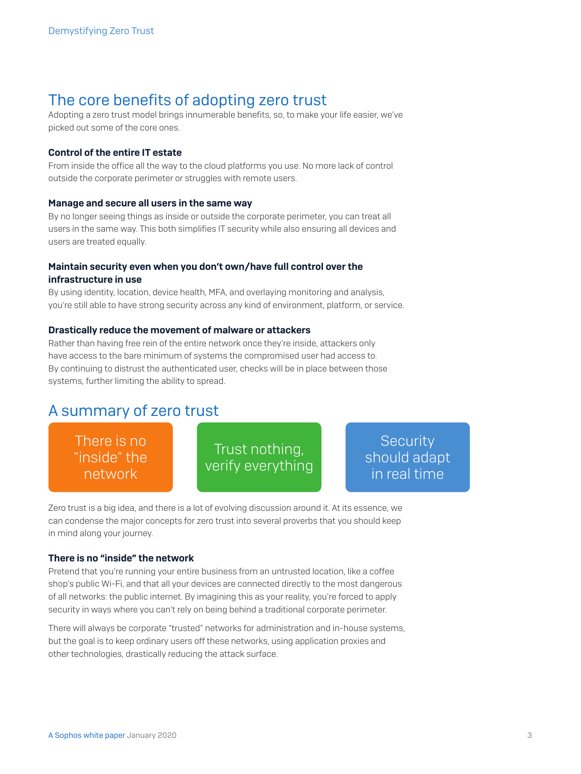## The core benefits of adopting zero trust

Adopting a zero trust model brings innumerable benefits, so, to make your life easier, we've picked out some of the core ones.

#### Control of the entire IT estate

From inside the office all the way to the cloud platforms you use. No more lack of control outside the corporate perimeter or struggles with remote users.

#### Manage and secure all users in the same way

By no longer seeing things as inside or outside the corporate perimeter, you can treat all users in the same way. This both simplifies IT security while also ensuring all devices and users are treated equally.

#### Maintain security even when you don't own/have full control over the infrastructure in use

By using identity, location, device health, MFA, and overlaying monitoring and analysis, you're still able to have strong security across any kind of environment, platform, or service.

#### Drastically reduce the movement of malware or attackers

Rather than having free rein of the entire network once they're inside, attackers only have access to the bare minimum of systems the compromised user had access to. By continuing to distrust the authenticated user, checks will be in place between those systems, further limiting the ability to spread.

## A summary of zero trust

There is no "inside" the network

Trust nothing, verify everything

**Security** should adapt in real time

Zero trust is a big idea, and there is a lot of evolving discussion around it. At its essence, we can condense the major concepts for zero trust into several proverbs that you should keep in mind along your journey.

#### There is no "inside" the network

Pretend that you're running your entire business from an untrusted location, like a coffee shop's public Wi-Fi, and that all your devices are connected directly to the most dangerous of all networks: the public internet. By imagining this as your reality, you're forced to apply security in ways where you can't rely on being behind a traditional corporate perimeter.

There will always be corporate "trusted" networks for administration and in-house systems, but the goal is to keep ordinary users off these networks, using application proxies and other technologies, drastically reducing the attack surface.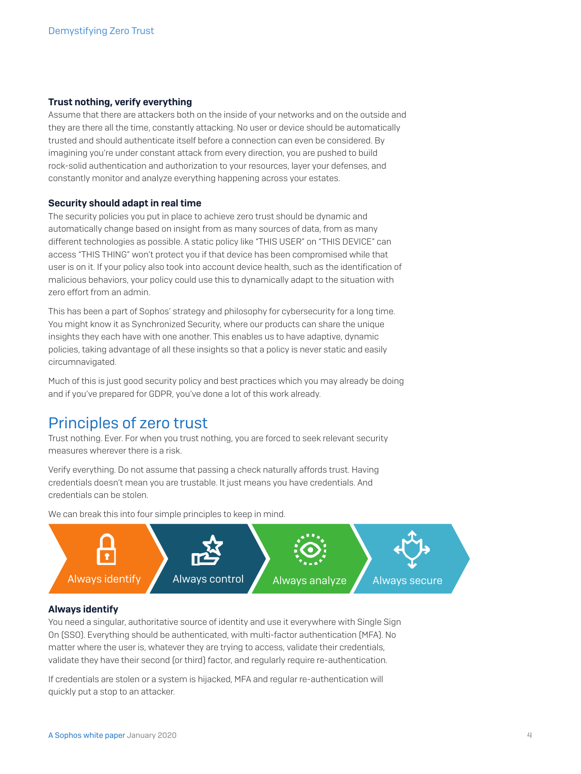#### Trust nothing, verify everything

Assume that there are attackers both on the inside of your networks and on the outside and they are there all the time, constantly attacking. No user or device should be automatically trusted and should authenticate itself before a connection can even be considered. By imagining you're under constant attack from every direction, you are pushed to build rock-solid authentication and authorization to your resources, layer your defenses, and constantly monitor and analyze everything happening across your estates.

#### Security should adapt in real time

The security policies you put in place to achieve zero trust should be dynamic and automatically change based on insight from as many sources of data, from as many different technologies as possible. A static policy like "THIS USER" on "THIS DEVICE" can access "THIS THING" won't protect you if that device has been compromised while that user is on it. If your policy also took into account device health, such as the identification of malicious behaviors, your policy could use this to dynamically adapt to the situation with zero effort from an admin.

This has been a part of Sophos' strategy and philosophy for cybersecurity for a long time. You might know it as Synchronized Security, where our products can share the unique insights they each have with one another. This enables us to have adaptive, dynamic policies, taking advantage of all these insights so that a policy is never static and easily circumnavigated.

Much of this is just good security policy and best practices which you may already be doing and if you've prepared for GDPR, you've done a lot of this work already.

## Principles of zero trust

Trust nothing. Ever. For when you trust nothing, you are forced to seek relevant security measures wherever there is a risk.

Verify everything. Do not assume that passing a check naturally affords trust. Having credentials doesn't mean you are trustable. It just means you have credentials. And credentials can be stolen.



We can break this into four simple principles to keep in mind.

#### Always identify

You need a singular, authoritative source of identity and use it everywhere with Single Sign On (SSO). Everything should be authenticated, with multi-factor authentication (MFA). No matter where the user is, whatever they are trying to access, validate their credentials, validate they have their second (or third) factor, and regularly require re-authentication.

If credentials are stolen or a system is hijacked, MFA and regular re-authentication will quickly put a stop to an attacker.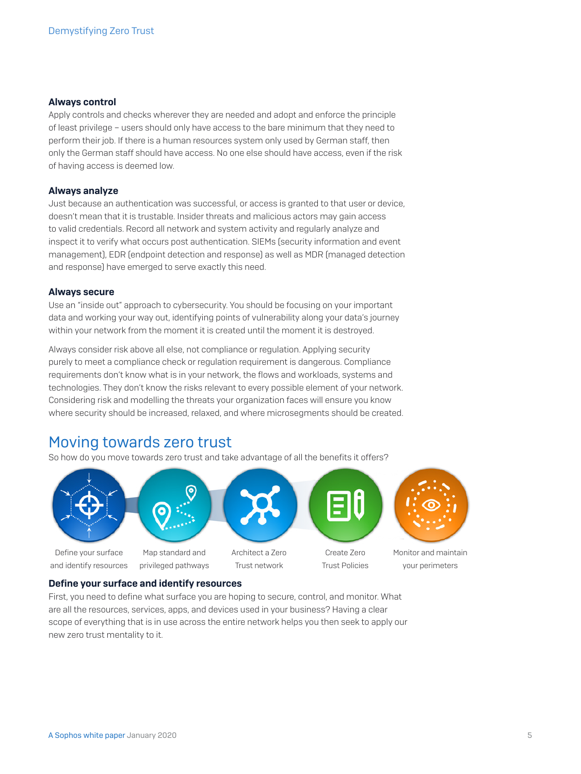#### Always control

Apply controls and checks wherever they are needed and adopt and enforce the principle of least privilege – users should only have access to the bare minimum that they need to perform their job. If there is a human resources system only used by German staff, then only the German staff should have access. No one else should have access, even if the risk of having access is deemed low.

#### Always analyze

Just because an authentication was successful, or access is granted to that user or device, doesn't mean that it is trustable. Insider threats and malicious actors may gain access to valid credentials. Record all network and system activity and regularly analyze and inspect it to verify what occurs post authentication. SIEMs (security information and event management), EDR (endpoint detection and response) as well as MDR (managed detection and response) have emerged to serve exactly this need.

#### Always secure

Use an "inside out" approach to cybersecurity. You should be focusing on your important data and working your way out, identifying points of vulnerability along your data's journey within your network from the moment it is created until the moment it is destroyed.

Always consider risk above all else, not compliance or regulation. Applying security purely to meet a compliance check or regulation requirement is dangerous. Compliance requirements don't know what is in your network, the flows and workloads, systems and technologies. They don't know the risks relevant to every possible element of your network. Considering risk and modelling the threats your organization faces will ensure you know where security should be increased, relaxed, and where microsegments should be created.

## Moving towards zero trust

So how do you move towards zero trust and take advantage of all the benefits it offers?



#### Define your surface and identify resources

First, you need to define what surface you are hoping to secure, control, and monitor. What are all the resources, services, apps, and devices used in your business? Having a clear scope of everything that is in use across the entire network helps you then seek to apply our new zero trust mentality to it.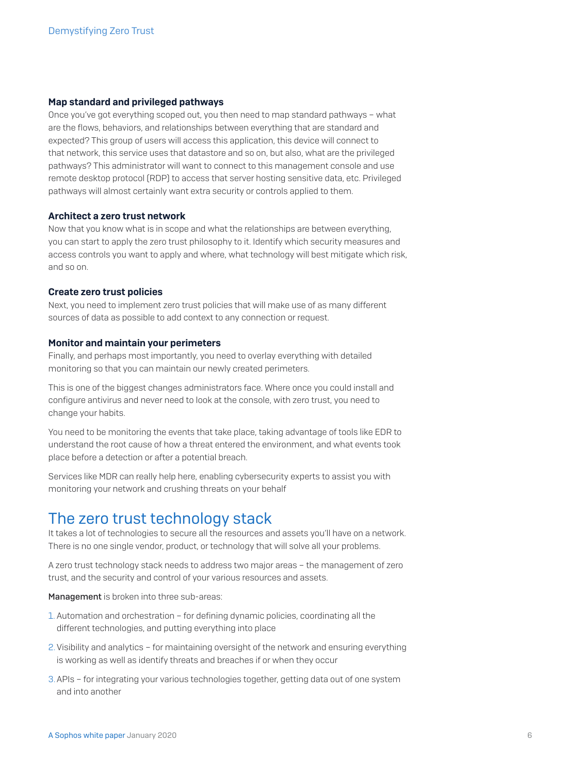#### Map standard and privileged pathways

Once you've got everything scoped out, you then need to map standard pathways – what are the flows, behaviors, and relationships between everything that are standard and expected? This group of users will access this application, this device will connect to that network, this service uses that datastore and so on, but also, what are the privileged pathways? This administrator will want to connect to this management console and use remote desktop protocol (RDP) to access that server hosting sensitive data, etc. Privileged pathways will almost certainly want extra security or controls applied to them.

#### Architect a zero trust network

Now that you know what is in scope and what the relationships are between everything, you can start to apply the zero trust philosophy to it. Identify which security measures and access controls you want to apply and where, what technology will best mitigate which risk, and so on.

#### Create zero trust policies

Next, you need to implement zero trust policies that will make use of as many different sources of data as possible to add context to any connection or request.

#### Monitor and maintain your perimeters

Finally, and perhaps most importantly, you need to overlay everything with detailed monitoring so that you can maintain our newly created perimeters.

This is one of the biggest changes administrators face. Where once you could install and configure antivirus and never need to look at the console, with zero trust, you need to change your habits.

You need to be monitoring the events that take place, taking advantage of tools like EDR to understand the root cause of how a threat entered the environment, and what events took place before a detection or after a potential breach.

Services like MDR can really help here, enabling cybersecurity experts to assist you with monitoring your network and crushing threats on your behalf

### The zero trust technology stack

It takes a lot of technologies to secure all the resources and assets you'll have on a network. There is no one single vendor, product, or technology that will solve all your problems.

A zero trust technology stack needs to address two major areas – the management of zero trust, and the security and control of your various resources and assets.

Management is broken into three sub-areas:

- 1. Automation and orchestration for defining dynamic policies, coordinating all the different technologies, and putting everything into place
- 2.Visibility and analytics for maintaining oversight of the network and ensuring everything is working as well as identify threats and breaches if or when they occur
- 3.APIs for integrating your various technologies together, getting data out of one system and into another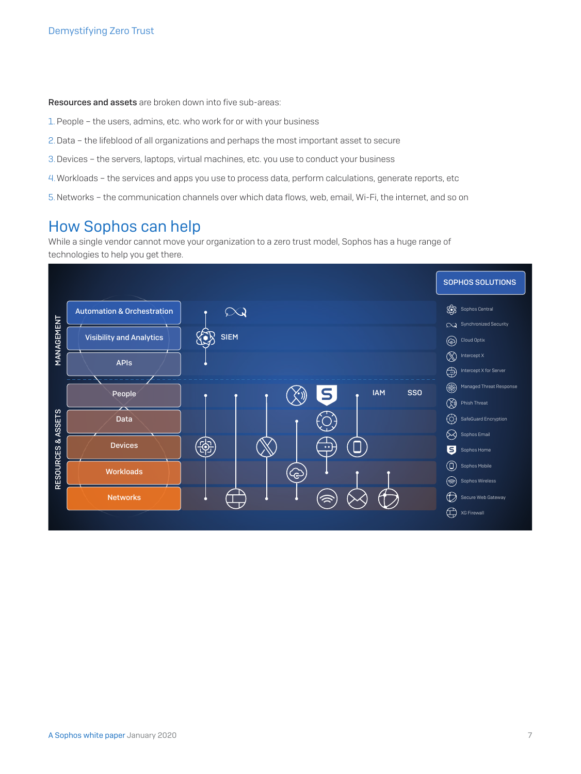Resources and assets are broken down into five sub-areas:

- 1. People the users, admins, etc. who work for or with your business
- 2.Data the lifeblood of all organizations and perhaps the most important asset to secure
- 3.Devices the servers, laptops, virtual machines, etc. you use to conduct your business
- 4.Workloads the services and apps you use to process data, perform calculations, generate reports, etc
- 5.Networks the communication channels over which data flows, web, email, Wi-Fi, the internet, and so on

## How Sophos can help

While a single vendor cannot move your organization to a zero trust model, Sophos has a huge range of technologies to help you get there.

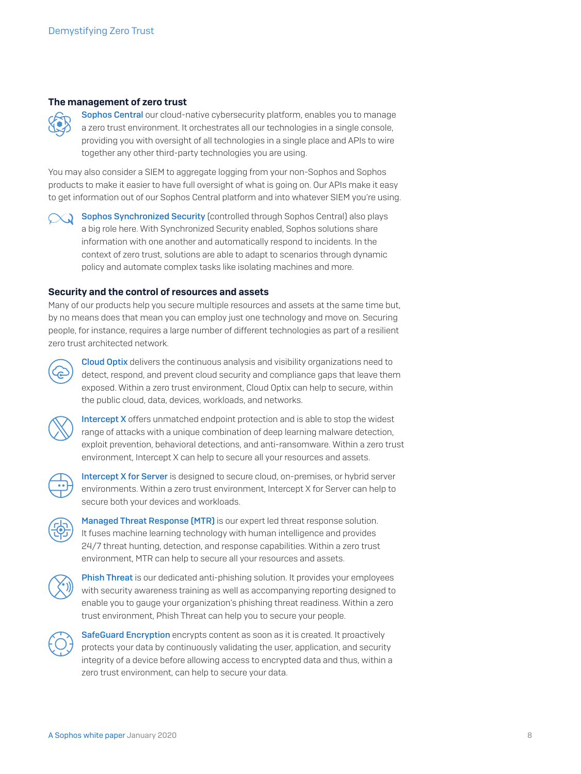#### The management of zero trust



[Sophos Central](https://www.sophos.com/en-us/products/sophos-central.aspx) our cloud-native cybersecurity platform, enables you to manage a zero trust environment. It orchestrates all our technologies in a single console, providing you with oversight of all technologies in a single place and APIs to wire together any other third-party technologies you are using.

You may also consider a SIEM to aggregate logging from your non-Sophos and Sophos products to make it easier to have full oversight of what is going on. Our APIs make it easy to get information out of our Sophos Central platform and into whatever SIEM you're using.

[Sophos Synchronized Security](https://www.sophos.com/en-us/lp/synchronized-security.aspx) (controlled through Sophos Central) also plays a big role here. With Synchronized Security enabled, Sophos solutions share information with one another and automatically respond to incidents. In the context of zero trust, solutions are able to adapt to scenarios through dynamic

Security and the control of resources and assets

Many of our products help you secure multiple resources and assets at the same time but, by no means does that mean you can employ just one technology and move on. Securing people, for instance, requires a large number of different technologies as part of a resilient zero trust architected network.

policy and automate complex tasks like isolating machines and more.



[Cloud Optix](https://www.sophos.com/en-us/products/cloud-optix.aspx) delivers the continuous analysis and visibility organizations need to detect, respond, and prevent cloud security and compliance gaps that leave them exposed. Within a zero trust environment, Cloud Optix can help to secure, within the public cloud, data, devices, workloads, and networks.



[Intercept X](https://www.sophos.com/en-us/products/intercept-x.aspx) offers unmatched endpoint protection and is able to stop the widest range of attacks with a unique combination of deep learning malware detection, exploit prevention, behavioral detections, and anti-ransomware. Within a zero trust environment, Intercept X can help to secure all your resources and assets.



[Intercept X for Server](https://www.sophos.com/en-us/products/server-security.aspx) is designed to secure cloud, on-premises, or hybrid server environments. Within a zero trust environment, Intercept X for Server can help to secure both your devices and workloads.



[Managed Threat Response \(MTR\)](https://www.sophos.com/en-us/products/managed-threat-response.aspx) is our expert led threat response solution. It fuses machine learning technology with human intelligence and provides 24/7 threat hunting, detection, and response capabilities. Within a zero trust environment, MTR can help to secure all your resources and assets.



**[Phish Threat](https://www.sophos.com/en-us/products/phish-threat.aspx)** is our dedicated anti-phishing solution. It provides your employees with security awareness training as well as accompanying reporting designed to enable you to gauge your organization's phishing threat readiness. Within a zero trust environment, Phish Threat can help you to secure your people.



[SafeGuard Encryption](https://www.sophos.com/en-us/products/safeguard-encryption.aspx) encrypts content as soon as it is created. It proactively protects your data by continuously validating the user, application, and security integrity of a device before allowing access to encrypted data and thus, within a zero trust environment, can help to secure your data.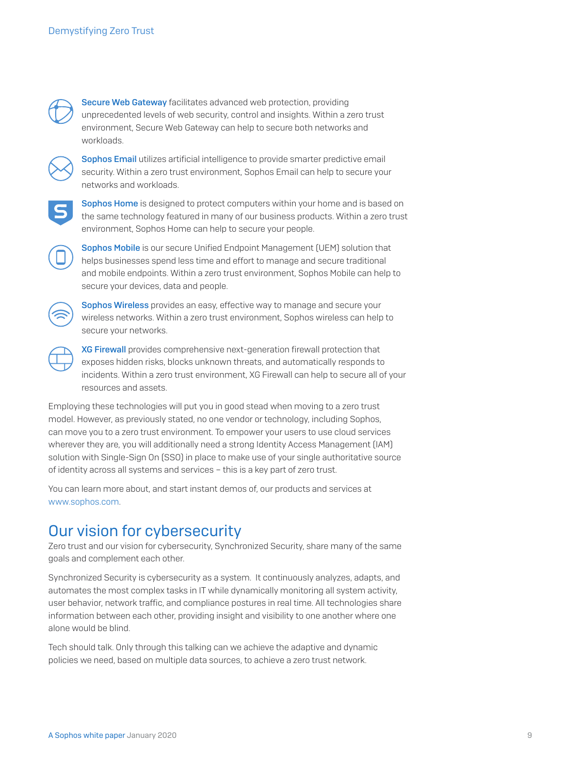

[Secure Web Gateway](https://www.sophos.com/en-us/products/secure-web-gateway.aspx) facilitates advanced web protection, providing unprecedented levels of web security, control and insights. Within a zero trust environment, Secure Web Gateway can help to secure both networks and workloads.



[Sophos Email](https://www.sophos.com/en-us/products/sophos-email.aspx) utilizes artificial intelligence to provide smarter predictive email security. Within a zero trust environment, Sophos Email can help to secure your networks and workloads.



[Sophos Home](https://home.sophos.com/en-us.aspx) is designed to protect computers within your home and is based on the same technology featured in many of our business products. Within a zero trust environment, Sophos Home can help to secure your people.

[Sophos Mobile](https://www.sophos.com/en-us/products/mobile-control.aspx) is our secure Unified Endpoint Management (UEM) solution that helps businesses spend less time and effort to manage and secure traditional and mobile endpoints. Within a zero trust environment, Sophos Mobile can help to secure your devices, data and people.



[Sophos Wireless](https://www.sophos.com/en-us/products/secure-wifi.aspx) provides an easy, effective way to manage and secure your wireless networks. Within a zero trust environment, Sophos wireless can help to secure your networks.

[XG Firewall](https://www.sophos.com/en-us/products/next-gen-firewall.aspx) provides comprehensive next-generation firewall protection that exposes hidden risks, blocks unknown threats, and automatically responds to incidents. Within a zero trust environment, XG Firewall can help to secure all of your resources and assets.

Employing these technologies will put you in good stead when moving to a zero trust model. However, as previously stated, no one vendor or technology, including Sophos, can move you to a zero trust environment. To empower your users to use cloud services wherever they are, you will additionally need a strong Identity Access Management (IAM) solution with Single-Sign On (SSO) in place to make use of your single authoritative source of identity across all systems and services – this is a key part of zero trust.

You can learn more about, and start instant demos of, our products and services at [www.sophos.com](http://www.sophos.com).

## Our vision for cybersecurity

Zero trust and our vision for cybersecurity, Synchronized Security, share many of the same goals and complement each other.

Synchronized Security is cybersecurity as a system. It continuously analyzes, adapts, and automates the most complex tasks in IT while dynamically monitoring all system activity, user behavior, network traffic, and compliance postures in real time. All technologies share information between each other, providing insight and visibility to one another where one alone would be blind.

Tech should talk. Only through this talking can we achieve the adaptive and dynamic policies we need, based on multiple data sources, to achieve a zero trust network.